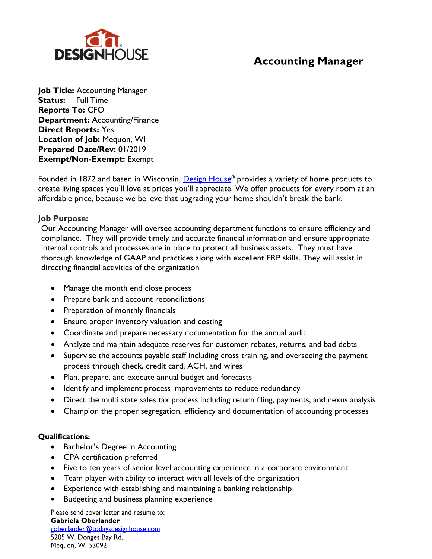

## **Accounting Manager**

**Job Title:** Accounting Manager **Status:** Full Time **Reports To:** CFO **Department:** Accounting/Finance **Direct Reports:** Yes **Location of Job:** Mequon, WI **Prepared Date/Rev:** 01/2019 **Exempt/Non-Exempt:** Exempt

Founded in 1872 and based in Wisconsin, Design House<sup>®</sup> provides a variety of home products to create living spaces you'll love at prices you'll appreciate. We offer products for every room at an affordable price, because we believe that upgrading your home shouldn't break the bank.

### **Job Purpose:**

Our Accounting Manager will oversee accounting department functions to ensure efficiency and compliance. They will provide timely and accurate financial information and ensure appropriate internal controls and processes are in place to protect all business assets. They must have thorough knowledge of GAAP and practices along with excellent ERP skills. They will assist in directing financial activities of the organization

- Manage the month end close process
- Prepare bank and account reconciliations
- Preparation of monthly financials
- Ensure proper inventory valuation and costing
- Coordinate and prepare necessary documentation for the annual audit
- Analyze and maintain adequate reserves for customer rebates, returns, and bad debts
- Supervise the accounts payable staff including cross training, and overseeing the payment process through check, credit card, ACH, and wires
- Plan, prepare, and execute annual budget and forecasts
- Identify and implement process improvements to reduce redundancy
- Direct the multi state sales tax process including return filing, payments, and nexus analysis
- Champion the proper segregation, efficiency and documentation of accounting processes

### **Qualifications:**

- Bachelor's Degree in Accounting
- CPA certification preferred
- Five to ten years of senior level accounting experience in a corporate environment
- Team player with ability to interact with all levels of the organization
- Experience with establishing and maintaining a banking relationship
- Budgeting and business planning experience

Please send cover letter and resume to: Gabriela Oberlander goberlander@todaysdesignhouse.com

5205 W. Donges Bay Rd. Mequon, WI 53092